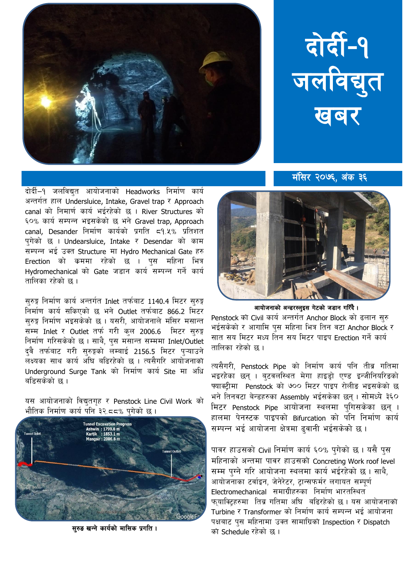

## दोर्दी-१ जलविद्युत खबर

दोर्दी–१ जलविद्युत आयोजनाको Headworks निर्माण कार्य अन्तर्गत हाल Undersluice, Intake, Gravel trap र Approach  $\,$  canal को निमार्ण कार्य भईरहेको छ । River Structures को ६०% कार्य सम्पन्न भइसकेको छ भने Gravel trap, Approach canal, Desander निर्माण कार्यको प्रगति 59.५% प्रतिशत पगेको छ । Undearsluice, Intake र Desendar को काम सम्पन्न भई उक्त Structure मा Hydro Mechanical Gate हरु Erection को कममा रहेको छ । पुस महिना भित्र Hydromechanical को Gate जड़ान कार्य सम्पन्न गर्ने कार्य तालिका रहेको छ ।

सुरुङ्ग निर्माण कार्य अन्तर्गत Inlet तर्फबाट 1140.4 मिटर सुरुङ्ग निर्माण कार्य सकिएको छ भने Outlet तर्फबाट 866.2 मिटर सुरुङ्ग निर्माण भइसकेको छ । यसरी, आयोजनाले मंसिर मसान्त सम्म Inlet र Outlet तर्फ गरी कुल 2006.6 मिटर सुरुङ्ग निर्माण गरिसकेको छ। साथै, पुस मसान्त सम्ममा Inlet/Outlet दवै तर्फबाट गरी सुरुङ्गको लम्बाई 2156.5 मिटर पृऱ्याउने लक्ष्यका साथ कार्य अघि बढिरहेको छ । त्यसैगरि आयोजनाको Underground Surge Tank को निर्माण कार्य Site मा अधि बहिसकेको छ ।

यस आयोजनाको विद्युतगृह र Penstock Line Civil Work को भौतिक निर्माण कार्य पनि ३२.८८% पगेको छ ।



मंसिर २०७६, अंक ३६



आयोजनाको अन्डरस्लुइस गेटको जडान गरिँदै।

Penstock को Civil कार्य अन्तर्गत Anchor Block को ढलान सुरु भईसकेको र आगामि पुस महिना भित्र तिन वटा Anchor Block र सात सय मिटर मध्य तिन सय मिटर पाइप Erection गर्ने कार्य तालिका रहेको छ ।

त्यसैगरी, Penstock Pipe को निर्माण कार्य पनि तीव्र गतिमा भइरहेका छन् । बुटवलस्थित मेगा हाइडो एण्ड इन्जीनियरिडको फ्याक्टीमा Penstock को ७०० मिटर पाइप रोलीङ भइसकेको छ भने तिनवटा बेन्डहरुका Assembly भईसकेका छन्। सोमध्ये ३६० मिटर Penstock Pipe आयोजना स्थलमा पुगिसकेका छन् । हालमा पेनस्टक पाइपको Bifurcation को पनि निर्माण कार्य सम्पन्न भई आयोजना क्षेत्रमा ढवानी भईसकेको छ ।

पावर हाउसको Civil निर्माण कार्य ६०% पुगेको छ । यसै पुस महिनाको अन्तमा पावर हाउसको Concreting Work roof level सम्म पुग्ने गरि आयोजना स्थलमा कार्य भईरहेको छ। साथै, आयोजनाका टर्वाइन, जेनेरेटर, ट्रान्सफर्मर लगायत सम्पूर्ण  $E$ lectromechanical समाग्रीहरुका निर्माण भारतस्थित फ्याक्टिहरुमा तिब्र गतिमा अघि बढिरहेको छ। यस आयोजनाको Turbine र Transformer को निर्माण कार्य सम्पन्न भई आयोजना पक्षबाट पुस महिनामा उक्त सामाग्रिको Inspection र Dispatch सुरुङ खन्ने कार्यको मासिक प्रगति ।  $\frac{1}{3}$ ि उत्ती  $\frac{1}{3}$  .  $\frac{1}{3}$  .  $\frac{1}{3}$  ,  $\frac{1}{3}$  ,  $\frac{1}{3}$